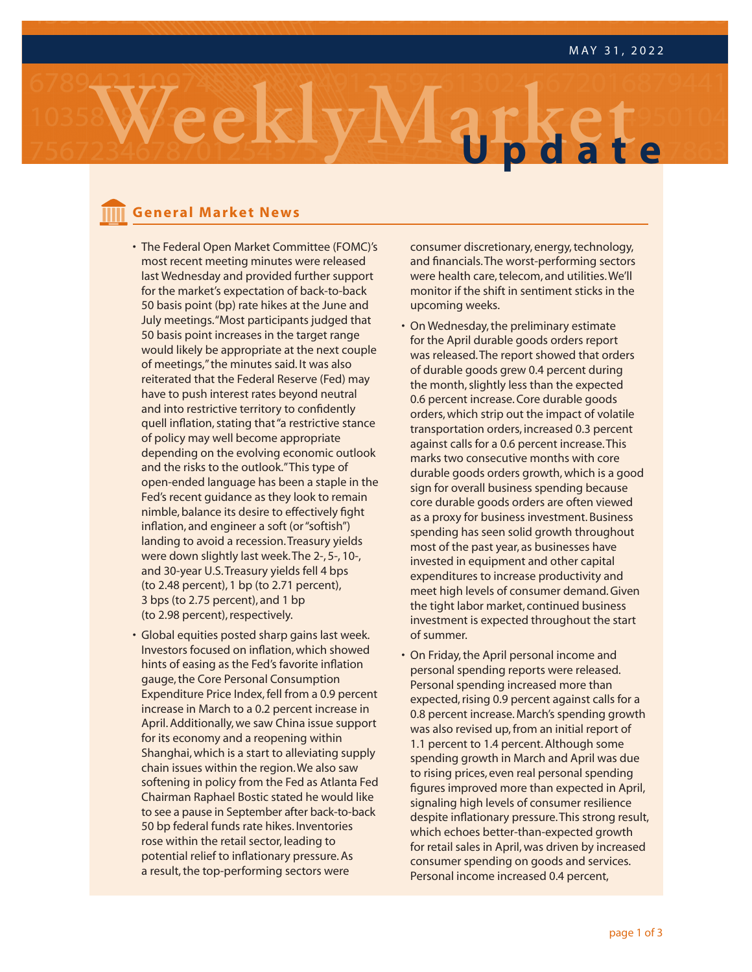

### **General Market News**

- **General Market News** • The Federal Open Market Committee (FOMC)'s most recent meeting minutes were released last Wednesday and provided further support for the market's expectation of back-to-back 50 basis point (bp) rate hikes at the June and July meetings. "Most participants judged that 50 basis point increases in the target range would likely be appropriate at the next couple of meetings," the minutes said. It was also reiterated that the Federal Reserve (Fed) may have to push interest rates beyond neutral and into restrictive territory to confidently quell inflation, stating that "a restrictive stance of policy may well become appropriate depending on the evolving economic outlook and the risks to the outlook." This type of open-ended language has been a staple in the Fed's recent guidance as they look to remain nimble, balance its desire to effectively fight inflation, and engineer a soft (or "softish") landing to avoid a recession. Treasury yields were down slightly last week. The 2-, 5-, 10-, and 30-year U.S. Treasury yields fell 4 bps (to 2.48 percent), 1 bp (to 2.71 percent), 3 bps (to 2.75 percent), and 1 bp (to 2.98 percent), respectively.
- Global equities posted sharp gains last week. Investors focused on inflation, which showed hints of easing as the Fed's favorite inflation gauge, the Core Personal Consumption Expenditure Price Index, fell from a 0.9 percent increase in March to a 0.2 percent increase in April. Additionally, we saw China issue support for its economy and a reopening within Shanghai, which is a start to alleviating supply chain issues within the region. We also saw softening in policy from the Fed as Atlanta Fed Chairman Raphael Bostic stated he would like to see a pause in September after back-to-back 50 bp federal funds rate hikes. Inventories rose within the retail sector, leading to potential relief to inflationary pressure. As a result, the top-performing sectors were

consumer discretionary, energy, technology, and financials. The worst-performing sectors were health care, telecom, and utilities. We'll monitor if the shift in sentiment sticks in the upcoming weeks.

- On Wednesday, the preliminary estimate for the April durable goods orders report was released. The report showed that orders of durable goods grew 0.4 percent during the month, slightly less than the expected 0.6 percent increase. Core durable goods orders, which strip out the impact of volatile transportation orders, increased 0.3 percent against calls for a 0.6 percent increase. This marks two consecutive months with core durable goods orders growth, which is a good sign for overall business spending because core durable goods orders are often viewed as a proxy for business investment. Business spending has seen solid growth throughout most of the past year, as businesses have invested in equipment and other capital expenditures to increase productivity and meet high levels of consumer demand. Given the tight labor market, continued business investment is expected throughout the start of summer.
- On Friday, the April personal income and personal spending reports were released. Personal spending increased more than expected, rising 0.9 percent against calls for a 0.8 percent increase. March's spending growth was also revised up, from an initial report of 1.1 percent to 1.4 percent. Although some spending growth in March and April was due to rising prices, even real personal spending figures improved more than expected in April, signaling high levels of consumer resilience despite inflationary pressure. This strong result, which echoes better-than-expected growth for retail sales in April, was driven by increased consumer spending on goods and services. Personal income increased 0.4 percent,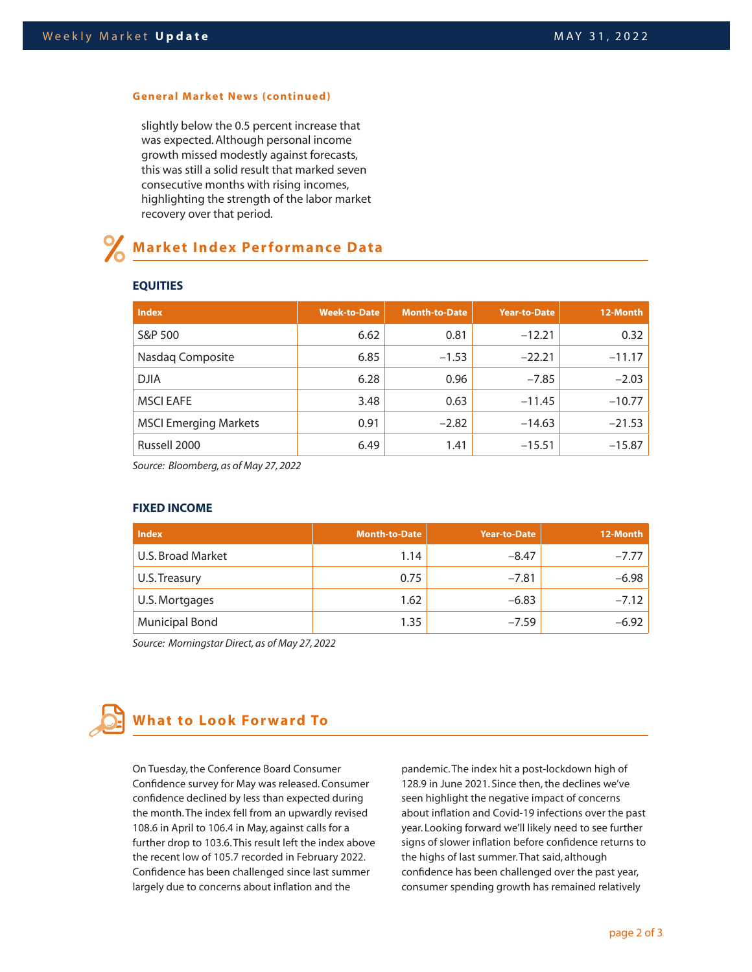#### **General Market News (continued)**

slightly below the 0.5 percent increase that was expected. Although personal income growth missed modestly against forecasts, this was still a solid result that marked seven consecutive months with rising incomes, highlighting the strength of the labor market recovery over that period.

## **Market Index Performance Data**

#### **EQUITIES**

| <b>Index</b>                 | <b>Week-to-Date</b> | <b>Month-to-Date</b> | <b>Year-to-Date</b> | 12-Month |
|------------------------------|---------------------|----------------------|---------------------|----------|
| S&P 500                      | 6.62                | 0.81                 | $-12.21$            | 0.32     |
| Nasdaq Composite             | 6.85                | $-1.53$              | $-22.21$            | $-11.17$ |
| <b>DJIA</b>                  | 6.28                | 0.96                 | $-7.85$             | $-2.03$  |
| <b>MSCI EAFE</b>             | 3.48                | 0.63                 | $-11.45$            | $-10.77$ |
| <b>MSCI Emerging Markets</b> | 0.91                | $-2.82$              | $-14.63$            | $-21.53$ |
| Russell 2000                 | 6.49                | 1.41                 | $-15.51$            | $-15.87$ |

*Source: Bloomberg, as of May 27, 2022*

### **FIXED INCOME**

| <b>Index</b>          | <b>Month-to-Date</b> | Year-to-Date | 12-Month |
|-----------------------|----------------------|--------------|----------|
| U.S. Broad Market     | 1.14                 | $-8.47$      | $-7.77$  |
| U.S. Treasury         | 0.75                 | $-7.81$      | $-6.98$  |
| U.S. Mortgages        | 1.62                 | $-6.83$      | $-7.12$  |
| <b>Municipal Bond</b> | 1.35                 | $-7.59$      | $-6.92$  |

*Source: Morningstar Direct, as of May 27, 2022*



# **What to Look Forward To**

On Tuesday, the Conference Board Consumer Confidence survey for May was released. Consumer confidence declined by less than expected during the month. The index fell from an upwardly revised 108.6 in April to 106.4 in May, against calls for a further drop to 103.6. This result left the index above the recent low of 105.7 recorded in February 2022. Confidence has been challenged since last summer largely due to concerns about inflation and the

pandemic. The index hit a post-lockdown high of 128.9 in June 2021. Since then, the declines we've seen highlight the negative impact of concerns about inflation and Covid-19 infections over the past year. Looking forward we'll likely need to see further signs of slower inflation before confidence returns to the highs of last summer. That said, although confidence has been challenged over the past year, consumer spending growth has remained relatively